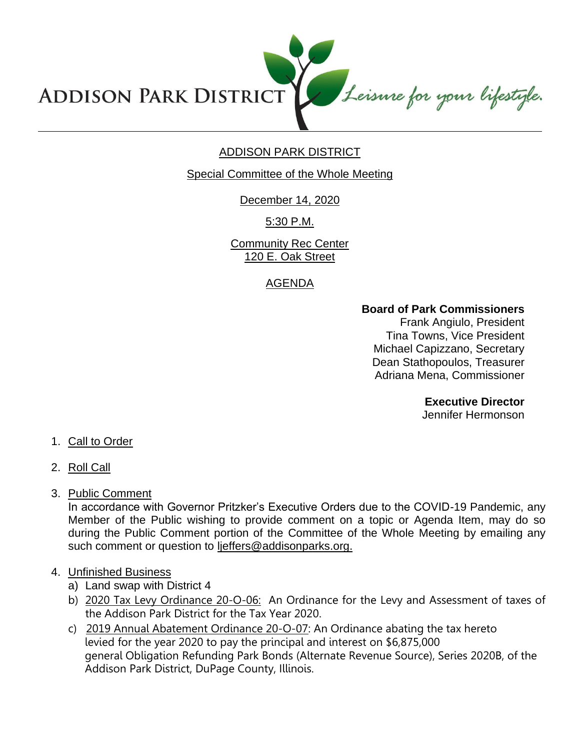Leisure for your lifestyle. **ADDISON PARK DISTRICT** 

# ADDISON PARK DISTRICT

Special Committee of the Whole Meeting

December 14, 2020

5:30 P.M.

Community Rec Center 120 E. Oak Street

## AGENDA

## **Board of Park Commissioners**

Frank Angiulo, President Tina Towns, Vice President Michael Capizzano, Secretary Dean Stathopoulos, Treasurer Adriana Mena, Commissioner

**Executive Director**

Jennifer Hermonson

- 1. Call to Order
- 2. Roll Call
- 3. Public Comment

In accordance with Governor Pritzker's Executive Orders due to the COVID-19 Pandemic, any Member of the Public wishing to provide comment on a topic or Agenda Item, may do so during the Public Comment portion of the Committee of the Whole Meeting by emailing any such comment or question to ljeffers@addisonparks.org.

- 4. Unfinished Business
	- a) Land swap with District 4
	- b) 2020 Tax Levy Ordinance 20-O-06: An Ordinance for the Levy and Assessment of taxes of the Addison Park District for the Tax Year 2020.
	- c) 2019 Annual Abatement Ordinance 20-O-07: An Ordinance abating the tax hereto levied for the year 2020 to pay the principal and interest on \$6,875,000 general Obligation Refunding Park Bonds (Alternate Revenue Source), Series 2020B, of the Addison Park District, DuPage County, Illinois.